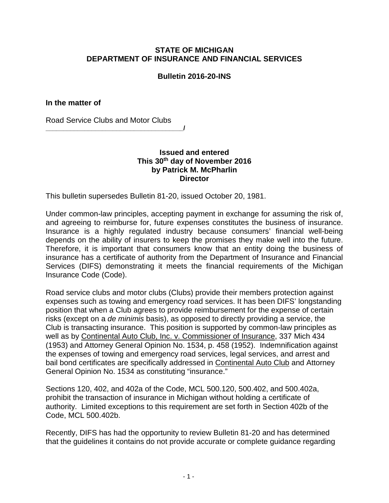## **STATE OF MICHIGAN DEPARTMENT OF INSURANCE AND FINANCIAL SERVICES**

## **Bulletin 2016-20-INS**

**In the matter of** 

Road Service Clubs and Motor Clubs

**\_\_\_\_\_\_\_\_\_\_\_\_\_\_\_\_\_\_\_\_\_\_\_\_\_\_\_\_\_\_\_\_\_\_\_\_\_\_\_/**

## **Issued and entered This 30th day of November 2016 by Patrick M. McPharlin Director**

This bulletin supersedes Bulletin 81-20, issued October 20, 1981.

Under common-law principles, accepting payment in exchange for assuming the risk of, and agreeing to reimburse for, future expenses constitutes the business of insurance. Insurance is a highly regulated industry because consumers' financial well-being depends on the ability of insurers to keep the promises they make well into the future. Therefore, it is important that consumers know that an entity doing the business of insurance has a certificate of authority from the Department of Insurance and Financial Services (DIFS) demonstrating it meets the financial requirements of the Michigan Insurance Code (Code).

Road service clubs and motor clubs (Clubs) provide their members protection against expenses such as towing and emergency road services. It has been DIFS' longstanding position that when a Club agrees to provide reimbursement for the expense of certain risks (except on a *de minimis* basis), as opposed to directly providing a service, the Club is transacting insurance. This position is supported by common-law principles as well as by Continental Auto Club, Inc. v. Commissioner of Insurance, 337 Mich 434 (1953) and Attorney General Opinion No. 1534, p. 458 (1952). Indemnification against the expenses of towing and emergency road services, legal services, and arrest and bail bond certificates are specifically addressed in Continental Auto Club and Attorney General Opinion No. 1534 as constituting "insurance."

Sections 120, 402, and 402a of the Code, MCL 500.120, 500.402, and 500.402a, prohibit the transaction of insurance in Michigan without holding a certificate of authority. Limited exceptions to this requirement are set forth in Section 402b of the Code, MCL 500.402b.

Recently, DIFS has had the opportunity to review Bulletin 81-20 and has determined that the guidelines it contains do not provide accurate or complete guidance regarding